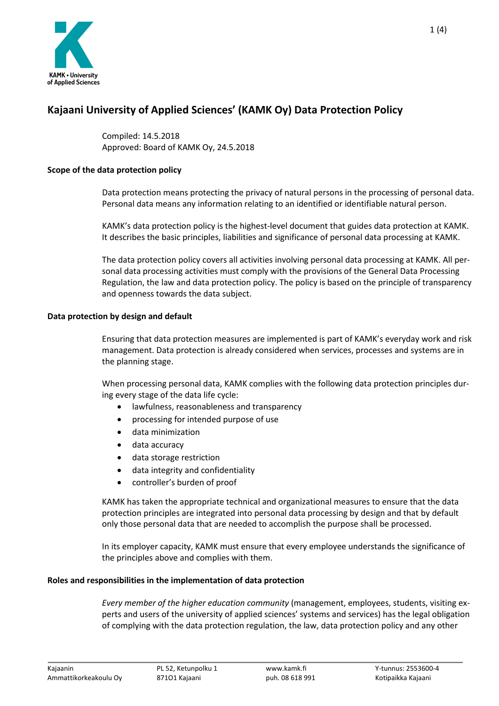

# **Kajaani University of Applied Sciences' (KAMK Oy) Data Protection Policy**

Compiled: 14.5.2018 Approved: Board of KAMK Oy, 24.5.2018

# **Scope of the data protection policy**

Data protection means protecting the privacy of natural persons in the processing of personal data. Personal data means any information relating to an identified or identifiable natural person.

KAMK's data protection policy is the highest-level document that guides data protection at KAMK. It describes the basic principles, liabilities and significance of personal data processing at KAMK.

The data protection policy covers all activities involving personal data processing at KAMK. All personal data processing activities must comply with the provisions of the General Data Processing Regulation, the law and data protection policy. The policy is based on the principle of transparency and openness towards the data subject.

# **Data protection by design and default**

Ensuring that data protection measures are implemented is part of KAMK's everyday work and risk management. Data protection is already considered when services, processes and systems are in the planning stage.

When processing personal data, KAMK complies with the following data protection principles during every stage of the data life cycle:

- lawfulness, reasonableness and transparency
- processing for intended purpose of use
- data minimization
- data accuracy
- data storage restriction
- data integrity and confidentiality
- controller's burden of proof

KAMK has taken the appropriate technical and organizational measures to ensure that the data protection principles are integrated into personal data processing by design and that by default only those personal data that are needed to accomplish the purpose shall be processed.

In its employer capacity, KAMK must ensure that every employee understands the significance of the principles above and complies with them.

### **Roles and responsibilities in the implementation of data protection**

*Every member of the higher education community* (management, employees, students, visiting experts and users of the university of applied sciences' systems and services) has the legal obligation of complying with the data protection regulation, the law, data protection policy and any other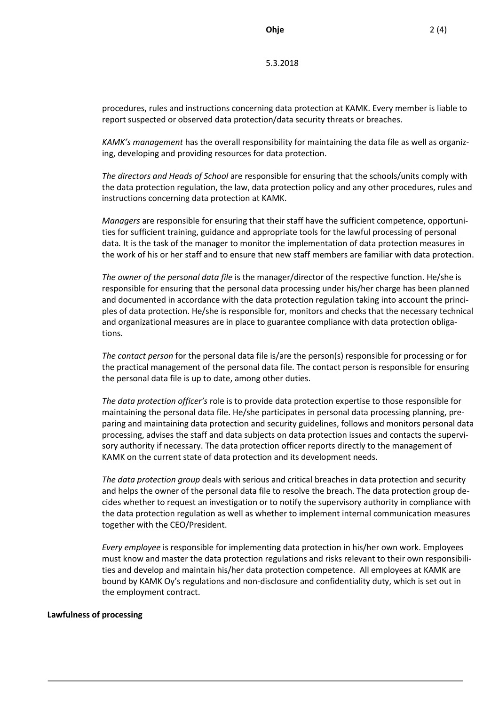5.3.2018

procedures, rules and instructions concerning data protection at KAMK. Every member is liable to report suspected or observed data protection/data security threats or breaches.

*KAMK's management* has the overall responsibility for maintaining the data file as well as organizing, developing and providing resources for data protection.

*The directors and Heads of School* are responsible for ensuring that the schools/units comply with the data protection regulation, the law, data protection policy and any other procedures, rules and instructions concerning data protection at KAMK.

*Managers* are responsible for ensuring that their staff have the sufficient competence, opportunities for sufficient training, guidance and appropriate tools for the lawful processing of personal data*.* It is the task of the manager to monitor the implementation of data protection measures in the work of his or her staff and to ensure that new staff members are familiar with data protection.

*The owner of the personal data file* is the manager/director of the respective function. He/she is responsible for ensuring that the personal data processing under his/her charge has been planned and documented in accordance with the data protection regulation taking into account the principles of data protection. He/she is responsible for, monitors and checks that the necessary technical and organizational measures are in place to guarantee compliance with data protection obligations.

*The contact person* for the personal data file is/are the person(s) responsible for processing or for the practical management of the personal data file. The contact person is responsible for ensuring the personal data file is up to date, among other duties.

*The data protection officer's* role is to provide data protection expertise to those responsible for maintaining the personal data file. He/she participates in personal data processing planning, preparing and maintaining data protection and security guidelines, follows and monitors personal data processing, advises the staff and data subjects on data protection issues and contacts the supervisory authority if necessary. The data protection officer reports directly to the management of KAMK on the current state of data protection and its development needs.

*The data protection group* deals with serious and critical breaches in data protection and security and helps the owner of the personal data file to resolve the breach. The data protection group decides whether to request an investigation or to notify the supervisory authority in compliance with the data protection regulation as well as whether to implement internal communication measures together with the CEO/President.

*Every employee* is responsible for implementing data protection in his/her own work. Employees must know and master the data protection regulations and risks relevant to their own responsibilities and develop and maintain his/her data protection competence. All employees at KAMK are bound by KAMK Oy's regulations and non-disclosure and confidentiality duty, which is set out in the employment contract.

#### **Lawfulness of processing**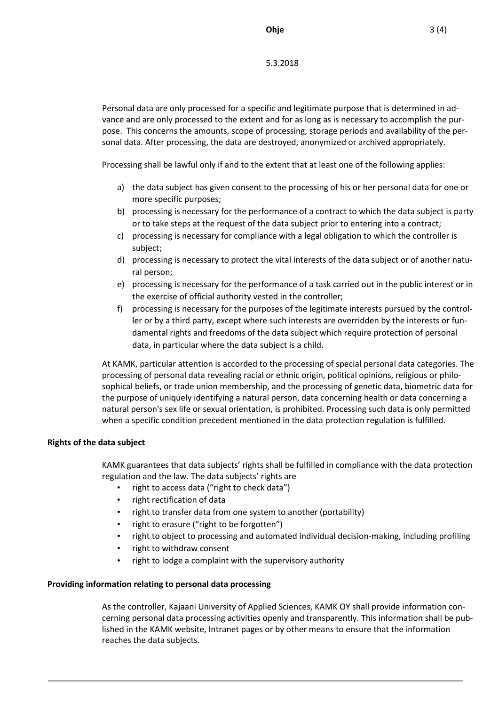5.3.2018

Personal data are only processed for a specific and legitimate purpose that is determined in advance and are only processed to the extent and for as long as is necessary to accomplish the purpose. This concerns the amounts, scope of processing, storage periods and availability of the personal data. After processing, the data are destroyed, anonymized or archived appropriately.

Processing shall be lawful only if and to the extent that at least one of the following applies:

- a) the data subject has given consent to the processing of his or her personal data for one or more specific purposes;
- b) processing is necessary for the performance of a contract to which the data subject is party or to take steps at the request of the data subject prior to entering into a contract;
- c) processing is necessary for compliance with a legal obligation to which the controller is subject;
- d) processing is necessary to protect the vital interests of the data subject or of another natural person;
- e) processing is necessary for the performance of a task carried out in the public interest or in the exercise of official authority vested in the controller;
- f) processing is necessary for the purposes of the legitimate interests pursued by the controller or by a third party, except where such interests are overridden by the interests or fundamental rights and freedoms of the data subject which require protection of personal data, in particular where the data subject is a child.

At KAMK, particular attention is accorded to the processing of special personal data categories. The processing of personal data revealing racial or ethnic origin, political opinions, religious or philosophical beliefs, or trade union membership, and the processing of genetic data, biometric data for the purpose of uniquely identifying a natural person, data concerning health or data concerning a natural person's sex life or sexual orientation, is prohibited. Processing such data is only permitted when a specific condition precedent mentioned in the data protection regulation is fulfilled.

# **Rights of the data subject**

KAMK guarantees that data subjects' rights shall be fulfilled in compliance with the data protection regulation and the law. The data subjects' rights are

- right to access data ("right to check data")
- right rectification of data
- right to transfer data from one system to another (portability)
- right to erasure ("right to be forgotten")
- right to object to processing and automated individual decision-making, including profiling
- right to withdraw consent
- right to lodge a complaint with the supervisory authority

# **Providing information relating to personal data processing**

As the controller, Kajaani University of Applied Sciences, KAMK OY shall provide information concerning personal data processing activities openly and transparently. This information shall be published in the KAMK website, Intranet pages or by other means to ensure that the information reaches the data subjects.